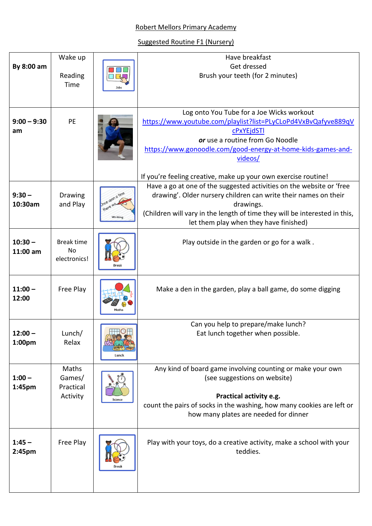## Robert Mellors Primary Academy

## Suggested Routine F1 (Nursery)

|                                | Wake up                                        |                                      | Have breakfast                                                                                                                                                                                                                                                               |
|--------------------------------|------------------------------------------------|--------------------------------------|------------------------------------------------------------------------------------------------------------------------------------------------------------------------------------------------------------------------------------------------------------------------------|
| By 8:00 am                     | Reading                                        |                                      | Get dressed<br>Brush your teeth (for 2 minutes)                                                                                                                                                                                                                              |
|                                | Time                                           | Jobs                                 |                                                                                                                                                                                                                                                                              |
| $9:00 - 9:30$<br>am            | PE                                             |                                      | Log onto You Tube for a Joe Wicks workout<br>https://www.youtube.com/playlist?list=PLyCLoPd4VxBvQafyve889qV<br><b>cPxYEjdSTI</b><br>or use a routine from Go Noodle<br>https://www.gonoodle.com/good-energy-at-home-kids-games-and-<br>videos/                               |
|                                |                                                |                                      | If you're feeling creative, make up your own exercise routine!                                                                                                                                                                                                               |
| $9:30 -$<br>10:30am            | Drawing<br>and Play                            | Ince upon a time<br>there<br>Writing | Have a go at one of the suggested activities on the website or 'free<br>drawing'. Older nursery children can write their names on their<br>drawings.<br>(Children will vary in the length of time they will be interested in this,<br>let them play when they have finished) |
|                                |                                                |                                      |                                                                                                                                                                                                                                                                              |
| $10:30 -$<br>11:00 am          | <b>Break time</b><br><b>No</b><br>electronics! |                                      | Play outside in the garden or go for a walk.                                                                                                                                                                                                                                 |
| $11:00 -$<br>12:00             | Free Play                                      |                                      | Make a den in the garden, play a ball game, do some digging                                                                                                                                                                                                                  |
| $12:00 -$<br>1:00pm            | Lunch/<br>Relax                                | Lunch                                | Can you help to prepare/make lunch?<br>Eat lunch together when possible.                                                                                                                                                                                                     |
| $1:00 -$<br>1:45pm             | Maths<br>Games/<br>Practical<br>Activity       | Science                              | Any kind of board game involving counting or make your own<br>(see suggestions on website)<br>Practical activity e.g.<br>count the pairs of socks in the washing, how many cookies are left or<br>how many plates are needed for dinner                                      |
| $1:45 -$<br>2:45 <sub>pm</sub> | Free Play                                      | Break                                | Play with your toys, do a creative activity, make a school with your<br>teddies.                                                                                                                                                                                             |